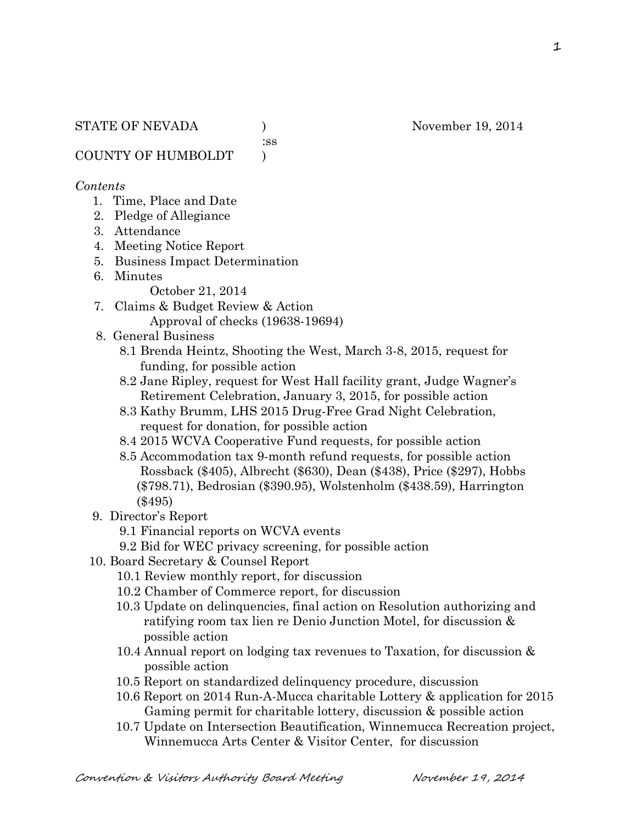:ss

COUNTY OF HUMBOLDT )

#### *Contents*

- 1. Time, Place and Date
- 2. Pledge of Allegiance
- 3. Attendance
- 4. Meeting Notice Report
- 5. Business Impact Determination
- 6. Minutes
	- October 21, 2014
- 7. Claims & Budget Review & Action
	- Approval of checks (19638-19694)
- 8. General Business
	- 8.1 Brenda Heintz, Shooting the West, March 3-8, 2015, request for funding, for possible action
	- 8.2 Jane Ripley, request for West Hall facility grant, Judge Wagner's Retirement Celebration, January 3, 2015, for possible action
	- 8.3 Kathy Brumm, LHS 2015 Drug-Free Grad Night Celebration, request for donation, for possible action
	- 8.4 2015 WCVA Cooperative Fund requests, for possible action
	- 8.5 Accommodation tax 9-month refund requests, for possible action Rossback (\$405), Albrecht (\$630), Dean (\$438), Price (\$297), Hobbs (\$798.71), Bedrosian (\$390.95), Wolstenholm (\$438.59), Harrington (\$495)
- 9. Director's Report
	- 9.1 Financial reports on WCVA events
	- 9.2 Bid for WEC privacy screening, for possible action
- 10. Board Secretary & Counsel Report
	- 10.1 Review monthly report, for discussion
	- 10.2 Chamber of Commerce report, for discussion
	- 10.3 Update on delinquencies, final action on Resolution authorizing and ratifying room tax lien re Denio Junction Motel, for discussion & possible action
	- 10.4 Annual report on lodging tax revenues to Taxation, for discussion & possible action
	- 10.5 Report on standardized delinquency procedure, discussion
	- 10.6 Report on 2014 Run-A-Mucca charitable Lottery & application for 2015 Gaming permit for charitable lottery, discussion & possible action
	- 10.7 Update on Intersection Beautification, Winnemucca Recreation project, Winnemucca Arts Center & Visitor Center, for discussion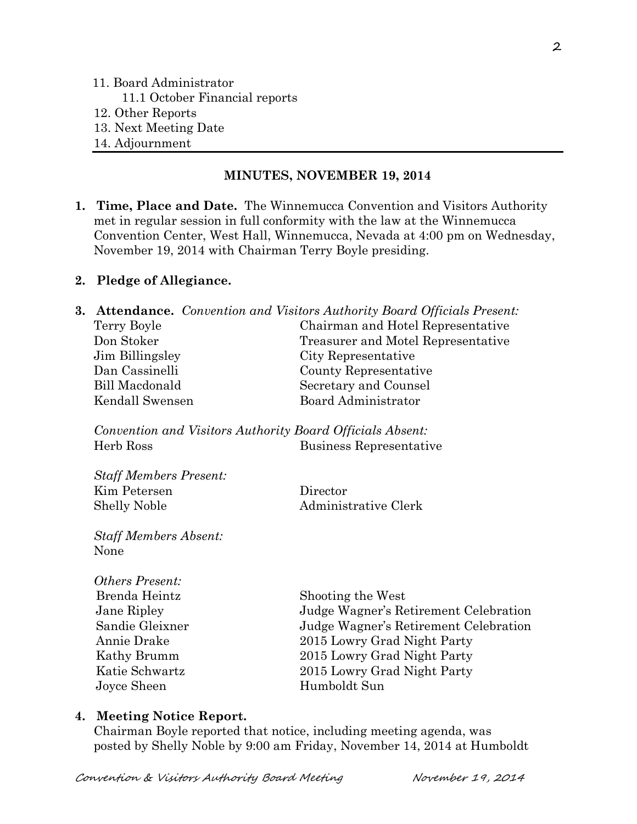## 11. Board Administrator

- 11.1 October Financial reports
- 12. Other Reports
- 13. Next Meeting Date
- 14. Adjournment

### **MINUTES, NOVEMBER 19, 2014**

**1. Time, Place and Date.** The Winnemucca Convention and Visitors Authority met in regular session in full conformity with the law at the Winnemucca Convention Center, West Hall, Winnemucca, Nevada at 4:00 pm on Wednesday, November 19, 2014 with Chairman Terry Boyle presiding.

## **2. Pledge of Allegiance.**

|                 | <b>3. Attendance.</b> Convention and Visitors Authority Board Officials Present: |
|-----------------|----------------------------------------------------------------------------------|
| Terry Boyle     | Chairman and Hotel Representative                                                |
| Don Stoker      | Treasurer and Motel Representative                                               |
| Jim Billingsley | City Representative                                                              |
| Dan Cassinelli  | County Representative                                                            |
| Bill Macdonald  | Secretary and Counsel                                                            |
| Kendall Swensen | Board Administrator                                                              |
|                 |                                                                                  |

*Convention and Visitors Authority Board Officials Absent:* Herb Ross Business Representative

| Director             |
|----------------------|
| Administrative Clerk |
|                      |

*Staff Members Absent:* None

*Staff Members Present:*

| <i><b>Others Present:</b></i> |                                       |
|-------------------------------|---------------------------------------|
| Brenda Heintz                 | Shooting the West                     |
| Jane Ripley                   | Judge Wagner's Retirement Celebration |
| Sandie Gleixner               | Judge Wagner's Retirement Celebration |
| Annie Drake                   | 2015 Lowry Grad Night Party           |
| Kathy Brumm                   | 2015 Lowry Grad Night Party           |
| Katie Schwartz                | 2015 Lowry Grad Night Party           |
| Joyce Sheen                   | Humboldt Sun                          |
|                               |                                       |

## **4. Meeting Notice Report.**

Chairman Boyle reported that notice, including meeting agenda, was posted by Shelly Noble by 9:00 am Friday, November 14, 2014 at Humboldt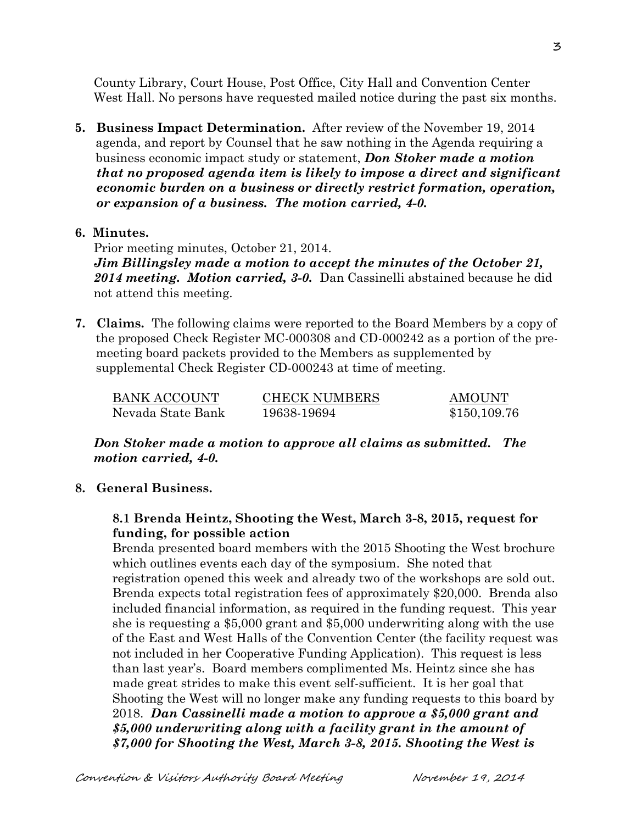County Library, Court House, Post Office, City Hall and Convention Center West Hall. No persons have requested mailed notice during the past six months.

**5. Business Impact Determination.** After review of the November 19, 2014 agenda, and report by Counsel that he saw nothing in the Agenda requiring a business economic impact study or statement, *Don Stoker made a motion that no proposed agenda item is likely to impose a direct and significant economic burden on a business or directly restrict formation, operation, or expansion of a business. The motion carried, 4-0.* 

#### **6. Minutes.**

Prior meeting minutes, October 21, 2014. *Jim Billingsley made a motion to accept the minutes of the October 21, 2014 meeting. Motion carried, 3-0.* Dan Cassinelli abstained because he did not attend this meeting.

**7. Claims.** The following claims were reported to the Board Members by a copy of the proposed Check Register MC-000308 and CD-000242 as a portion of the pre meeting board packets provided to the Members as supplemented by supplemental Check Register CD-000243 at time of meeting.

| BANK ACCOUNT      | <b>CHECK NUMBERS</b> | <b>AMOUNT</b> |
|-------------------|----------------------|---------------|
| Nevada State Bank | 19638-19694          | \$150,109.76  |

*Don Stoker made a motion to approve all claims as submitted. The motion carried, 4-0.*

### **8. General Business.**

## **8.1 Brenda Heintz, Shooting the West, March 3-8, 2015, request for funding, for possible action**

Brenda presented board members with the 2015 Shooting the West brochure which outlines events each day of the symposium. She noted that registration opened this week and already two of the workshops are sold out. Brenda expects total registration fees of approximately \$20,000. Brenda also included financial information, as required in the funding request. This year she is requesting a \$5,000 grant and \$5,000 underwriting along with the use of the East and West Halls of the Convention Center (the facility request was not included in her Cooperative Funding Application). This request is less than last year's. Board members complimented Ms. Heintz since she has made great strides to make this event self-sufficient. It is her goal that Shooting the West will no longer make any funding requests to this board by 2018. *Dan Cassinelli made a motion to approve a \$5,000 grant and \$5,000 underwriting along with a facility grant in the amount of \$7,000 for Shooting the West, March 3-8, 2015. Shooting the West is*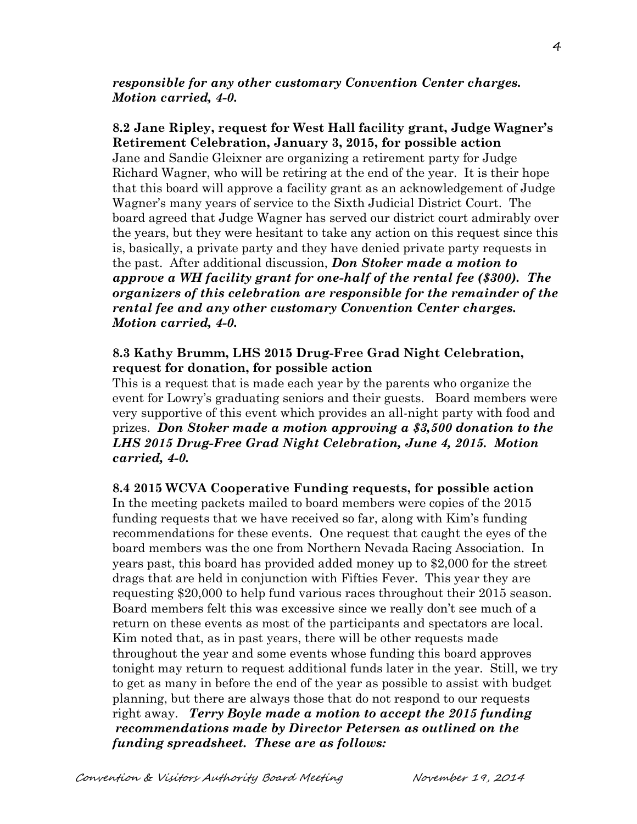*responsible for any other customary Convention Center charges. Motion carried, 4-0.* 

**8.2 Jane Ripley, request for West Hall facility grant, Judge Wagner's Retirement Celebration, January 3, 2015, for possible action** Jane and Sandie Gleixner are organizing a retirement party for Judge Richard Wagner, who will be retiring at the end of the year. It is their hope that this board will approve a facility grant as an acknowledgement of Judge Wagner's many years of service to the Sixth Judicial District Court. The board agreed that Judge Wagner has served our district court admirably over the years, but they were hesitant to take any action on this request since this is, basically, a private party and they have denied private party requests in the past. After additional discussion, *Don Stoker made a motion to approve a WH facility grant for one-half of the rental fee (\$300). The organizers of this celebration are responsible for the remainder of the rental fee and any other customary Convention Center charges. Motion carried, 4-0.* 

### **8.3 Kathy Brumm, LHS 2015 Drug-Free Grad Night Celebration, request for donation, for possible action**

This is a request that is made each year by the parents who organize the event for Lowry's graduating seniors and their guests. Board members were very supportive of this event which provides an all-night party with food and prizes. *Don Stoker made a motion approving a \$3,500 donation to the LHS 2015 Drug-Free Grad Night Celebration, June 4, 2015. Motion carried, 4-0.*

#### **8.4 2015 WCVA Cooperative Funding requests, for possible action**

In the meeting packets mailed to board members were copies of the 2015 funding requests that we have received so far, along with Kim's funding recommendations for these events. One request that caught the eyes of the board members was the one from Northern Nevada Racing Association. In years past, this board has provided added money up to \$2,000 for the street drags that are held in conjunction with Fifties Fever. This year they are requesting \$20,000 to help fund various races throughout their 2015 season. Board members felt this was excessive since we really don't see much of a return on these events as most of the participants and spectators are local. Kim noted that, as in past years, there will be other requests made throughout the year and some events whose funding this board approves tonight may return to request additional funds later in the year. Still, we try to get as many in before the end of the year as possible to assist with budget planning, but there are always those that do not respond to our requests right away. *Terry Boyle made a motion to accept the 2015 funding recommendations made by Director Petersen as outlined on the funding spreadsheet. These are as follows:*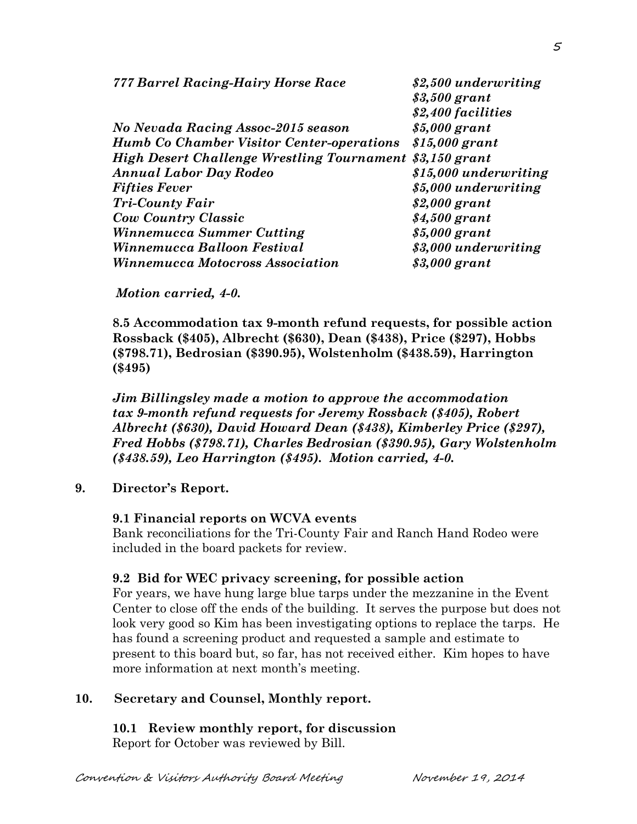| 777 Barrel Racing-Hairy Horse Race                       | \$2,500 underwriting  |  |
|----------------------------------------------------------|-----------------------|--|
|                                                          | \$3,500 grant         |  |
|                                                          | \$2,400 facilities    |  |
| No Nevada Racing Assoc-2015 season                       | $$5,000$ grant        |  |
| <b>Humb Co Chamber Visitor Center-operations</b>         | $$15,000$ grant       |  |
| High Desert Challenge Wrestling Tournament \$3,150 grant |                       |  |
| <b>Annual Labor Day Rodeo</b>                            | \$15,000 underwriting |  |
| <b>Fifties Fever</b>                                     | \$5,000 underwriting  |  |
| <b>Tri-County Fair</b>                                   | $$2,000$ grant        |  |
| <b>Cow Country Classic</b>                               | $$4,500$ grant        |  |
| <b>Winnemucca Summer Cutting</b>                         | $$5,000$ grant        |  |
| Winnemucca Balloon Festival                              | \$3,000 underwriting  |  |
| <i><b>Winnemucca Motocross Association</b></i>           | \$3,000 grant         |  |

#### *Motion carried, 4-0.*

**8.5 Accommodation tax 9-month refund requests, for possible action Rossback (\$405), Albrecht (\$630), Dean (\$438), Price (\$297), Hobbs (\$798.71), Bedrosian (\$390.95), Wolstenholm (\$438.59), Harrington (\$495)**

*Jim Billingsley made a motion to approve the accommodation tax 9-month refund requests for Jeremy Rossback (\$405), Robert Albrecht (\$630), David Howard Dean (\$438), Kimberley Price (\$297), Fred Hobbs (\$798.71), Charles Bedrosian (\$390.95), Gary Wolstenholm (\$438.59), Leo Harrington (\$495). Motion carried, 4-0.*

#### **9. Director's Report.**

#### **9.1 Financial reports on WCVA events**

Bank reconciliations for the Tri-County Fair and Ranch Hand Rodeo were included in the board packets for review.

#### **9.2 Bid for WEC privacy screening, for possible action**

For years, we have hung large blue tarps under the mezzanine in the Event Center to close off the ends of the building. It serves the purpose but does not look very good so Kim has been investigating options to replace the tarps. He has found a screening product and requested a sample and estimate to present to this board but, so far, has not received either. Kim hopes to have more information at next month's meeting.

## **10. Secretary and Counsel, Monthly report.**

#### **10.1 Review monthly report, for discussion**

Report for October was reviewed by Bill.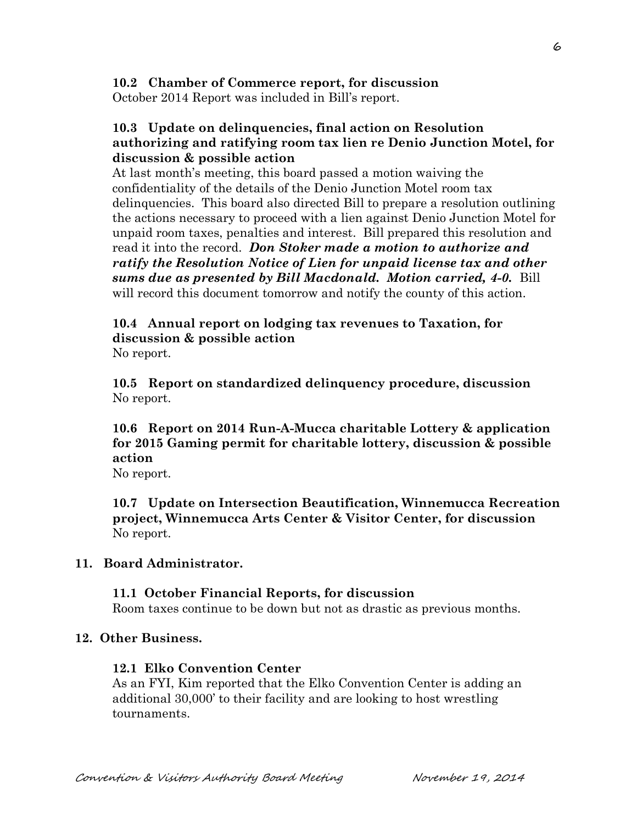## **10.2 Chamber of Commerce report, for discussion**

October 2014 Report was included in Bill's report.

## **10.3 Update on delinquencies, final action on Resolution authorizing and ratifying room tax lien re Denio Junction Motel, for discussion & possible action**

At last month's meeting, this board passed a motion waiving the confidentiality of the details of the Denio Junction Motel room tax delinquencies. This board also directed Bill to prepare a resolution outlining the actions necessary to proceed with a lien against Denio Junction Motel for unpaid room taxes, penalties and interest. Bill prepared this resolution and read it into the record. *Don Stoker made a motion to authorize and ratify the Resolution Notice of Lien for unpaid license tax and other sums due as presented by Bill Macdonald. Motion carried, 4-0.* Bill will record this document tomorrow and notify the county of this action.

## **10.4 Annual report on lodging tax revenues to Taxation, for discussion & possible action** No report.

 **10.5 Report on standardized delinquency procedure, discussion** No report.

# **10.6 Report on 2014 Run-A-Mucca charitable Lottery & application for 2015 Gaming permit for charitable lottery, discussion & possible action**

No report.

**10.7 Update on Intersection Beautification, Winnemucca Recreation project, Winnemucca Arts Center & Visitor Center, for discussion** No report.

## **11. Board Administrator.**

## **11.1 October Financial Reports, for discussion**

Room taxes continue to be down but not as drastic as previous months.

## **12. Other Business.**

## **12.1 Elko Convention Center**

As an FYI, Kim reported that the Elko Convention Center is adding an additional 30,000' to their facility and are looking to host wrestling tournaments.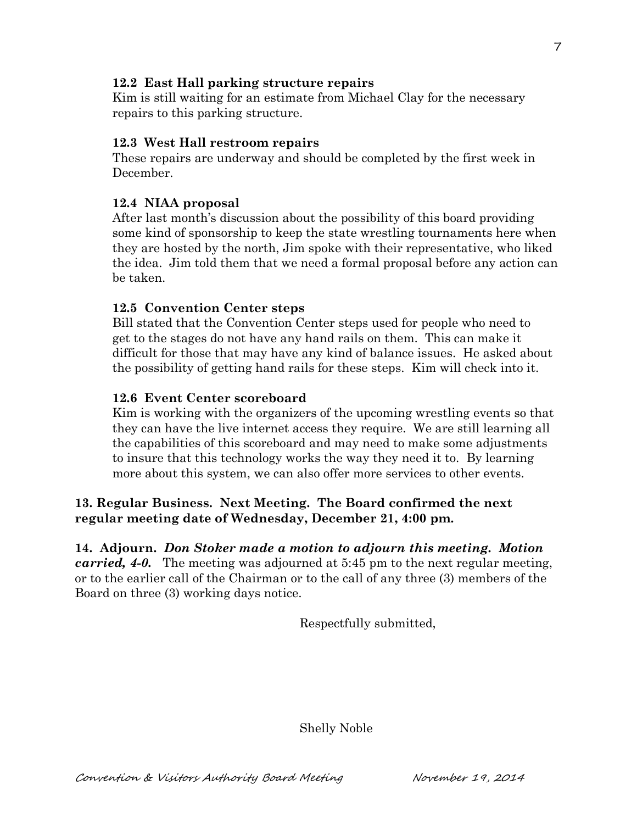## **12.2 East Hall parking structure repairs**

Kim is still waiting for an estimate from Michael Clay for the necessary repairs to this parking structure.

## **12.3 West Hall restroom repairs**

These repairs are underway and should be completed by the first week in December.

## **12.4 NIAA proposal**

After last month's discussion about the possibility of this board providing some kind of sponsorship to keep the state wrestling tournaments here when they are hosted by the north, Jim spoke with their representative, who liked the idea. Jim told them that we need a formal proposal before any action can be taken.

## **12.5 Convention Center steps**

Bill stated that the Convention Center steps used for people who need to get to the stages do not have any hand rails on them. This can make it difficult for those that may have any kind of balance issues. He asked about the possibility of getting hand rails for these steps. Kim will check into it.

## **12.6 Event Center scoreboard**

Kim is working with the organizers of the upcoming wrestling events so that they can have the live internet access they require. We are still learning all the capabilities of this scoreboard and may need to make some adjustments to insure that this technology works the way they need it to. By learning more about this system, we can also offer more services to other events.

## **13. Regular Business. Next Meeting. The Board confirmed the next regular meeting date of Wednesday, December 21, 4:00 pm.**

**14. Adjourn.** *Don Stoker made a motion to adjourn this meeting. Motion carried, 4-0.* The meeting was adjourned at 5:45 pm to the next regular meeting, or to the earlier call of the Chairman or to the call of any three (3) members of the Board on three (3) working days notice.

Respectfully submitted,

Shelly Noble